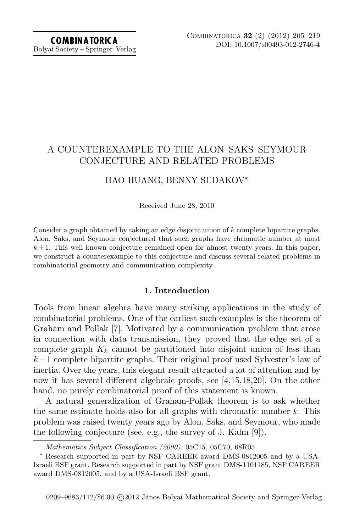Bolyai Society – Springer-Verlag

# A COUNTEREXAMPLE TO THE ALON–SAKS–SEYMOUR CONJECTURE AND RELATED PROBLEMS

### HAO HUANG, BENNY SUDAKOV<sup>∗</sup>

Received June 28, 2010

Consider a graph obtained by taking an edge disjoint union of *k* complete bipartite graphs. Alon, Saks, and Seymour conjectured that such graphs have chromatic number at most  $k+1$ . This well known conjecture remained open for almost twenty years. In this paper, we construct a counterexample to this conjecture and discuss several related problems in combinatorial geometry and communication complexity.

### **1. Introduction**

Tools from linear algebra have many striking applications in the study of combinatorial problems. One of the earliest such examples is the theorem of Graham and Pollak [\[7\]](#page-13-0). Motivated by a communication problem that arose in connection with data transmission, they proved that the edge set of a complete graph  $K_k$  cannot be partitioned into disjoint union of less than k−1 complete bipartite graphs. Their original proof used Sylvester's law of inertia. Over the years, this elegant result attracted a lot of attention and by now it has several different algebraic proofs, see [\[4,](#page-13-1)[15,](#page-14-0)[18](#page-14-1)[,20\]](#page-14-2). On the other hand, no purely combinatorial proof of this statement is known.

A natural generalization of Graham-Pollak theorem is to ask whether the same estimate holds also for all graphs with chromatic number  $k$ . This problem was raised twenty years ago by Alon, Saks, and Seymour, who made the following conjecture (see, e.g., the survey of J. Kahn [\[9\]](#page-13-2)).

*Mathematics Subject Classification (2000):* 05C15, 05C70, 68R05

<sup>∗</sup> Research supported in part by NSF CAREER award DMS-0812005 and by a USA-Israeli BSF grant. Research supported in part by NSF grant DMS-1101185, NSF CAREER award DMS-0812005, and by a USA-Israeli BSF grant.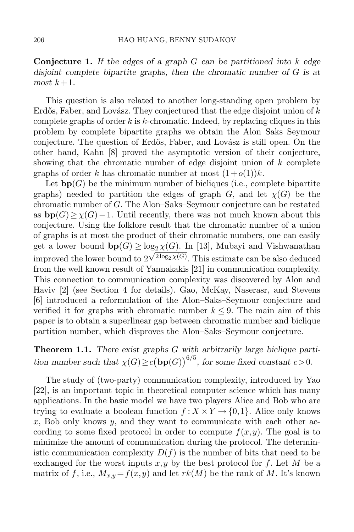**Conjecture 1.** *If the edges of a graph* G *can be partitioned into* k *edge disjoint complete bipartite graphs, then the chromatic number of* G *is at most*  $k+1$ *.* 

This question is also related to another long-standing open problem by Erdős, Faber, and Lovász. They conjectured that the edge disjoint union of  $k$ complete graphs of order  $k$  is  $k$ -chromatic. Indeed, by replacing cliques in this problem by complete bipartite graphs we obtain the Alon–Saks–Seymour conjecture. The question of Erdős, Faber, and Lovász is still open. On the other hand, Kahn [\[8\]](#page-13-3) proved the asymptotic version of their conjecture, showing that the chromatic number of edge disjoint union of  $k$  complete graphs of order k has chromatic number at most  $(1+o(1))k$ .

Let  $\mathbf{bp}(G)$  be the minimum number of bicliques (i.e., complete bipartite graphs) needed to partition the edges of graph G, and let  $\chi(G)$  be the chromatic number of G. The Alon–Saks–Seymour conjecture can be restated as  $b\mathbf{p}(G) \geq \chi(G)-1$ . Until recently, there was not much known about this conjecture. Using the folklore result that the chromatic number of a union of graphs is at most the product of their chromatic numbers, one can easily get a lower bound  $\mathbf{bp}(G) \ge \log_2 \chi(G)$ . In [\[13\]](#page-14-3), Mubayi and Vishwanathan improved the lower bound to  $2^{\sqrt{2\log_2 \chi(G)}}$ . This estimate can be also deduced from the well known result of Yannakakis [\[21\]](#page-14-4) in communication complexity. This connection to communication complexity was discovered by Alon and Haviv [\[2\]](#page-13-4) (see Section 4 for details). Gao, McKay, Naserasr, and Stevens [\[6\]](#page-13-5) introduced a reformulation of the Alon–Saks–Seymour conjecture and verified it for graphs with chromatic number  $k \leq 9$ . The main aim of this paper is to obtain a superlinear gap between chromatic number and biclique partition number, which disproves the Alon–Saks–Seymour conjecture.

## <span id="page-1-0"></span>**Theorem 1.1.** *There exist graphs* G *with arbitrarily large biclique partition number such that*  $\chi(G) \ge c(\mathbf{bp}(G))^{6/5}$ , for some fixed constant  $c > 0$ .

The study of (two-party) communication complexity, introduced by Yao [\[22\]](#page-14-5), is an important topic in theoretical computer science which has many applications. In the basic model we have two players Alice and Bob who are trying to evaluate a boolean function  $f: X \times Y \to \{0,1\}$ . Alice only knows x, Bob only knows  $y$ , and they want to communicate with each other according to some fixed protocol in order to compute  $f(x,y)$ . The goal is to minimize the amount of communication during the protocol. The deterministic communication complexity  $D(f)$  is the number of bits that need to be exchanged for the worst inputs  $x, y$  by the best protocol for f. Let M be a matrix of f, i.e.,  $M_{x,y} = f(x,y)$  and let  $rk(M)$  be the rank of M. It's known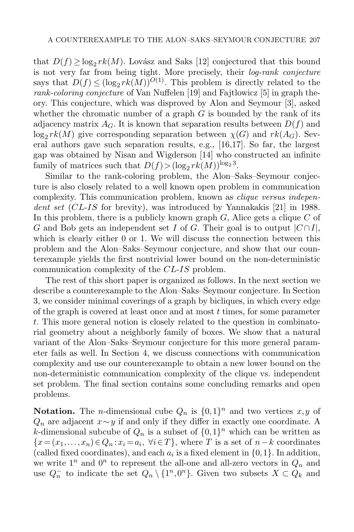that  $D(f) \ge \log_2 rk(M)$ . Lovász and Saks [\[12\]](#page-14-6) conjectured that this bound is not very far from being tight. More precisely, their *log-rank conjecture* says that  $D(f) \leq (\log_2 rk(M))^{O(1)}$ . This problem is directly related to the *rank-coloring conjecture* of Van Nuffelen [\[19\]](#page-14-7) and Fajtlowicz [\[5\]](#page-13-6) in graph theory. This conjecture, which was disproved by Alon and Seymour [\[3\]](#page-13-7), asked whether the chromatic number of a graph  $G$  is bounded by the rank of its adjacency matrix  $A_G$ . It is known that separation results between  $D(f)$  and  $\log_2 rk(M)$  give corresponding separation between  $\chi(G)$  and  $rk(A_G)$ . Sev-<br>eral authors gave such separation results e.g. [16.17]. So far, the largest eral authors gave such separation results, e.g., [\[16](#page-14-8)[,17\]](#page-14-9). So far, the largest gap was obtained by Nisan and Wigderson [\[14\]](#page-14-10) who constructed an infinite family of matrices such that  $D(f) > (\log_2 r k(M))^{\log_2 3}$ .<br>Similar to the rank-coloring problem the Alon-S

Similar to the rank-coloring problem, the Alon–Saks–Seymour conjecture is also closely related to a well known open problem in communication complexity. This communication problem, known as *clique versus independent set* (CL-IS for brevity), was introduced by Yannakakis [\[21\]](#page-14-4) in 1988. In this problem, there is a publicly known graph  $G$ , Alice gets a clique  $C$  of G and Bob gets an independent set I of G. Their goal is to output  $|C \cap I|$ , which is clearly either 0 or 1. We will discuss the connection between this problem and the Alon–Saks–Seymour conjecture, and show that our counterexample yields the first nontrivial lower bound on the non-deterministic communication complexity of the CL-IS problem.

The rest of this short paper is organized as follows. In the next section we describe a counterexample to the Alon–Saks–Seymour conjecture. In Section [3,](#page-6-0) we consider minimal coverings of a graph by bicliques, in which every edge of the graph is covered at least once and at most t times, for some parameter t. This more general notion is closely related to the question in combinatorial geometry about a neighborly family of boxes. We show that a natural variant of the Alon–Saks–Seymour conjecture for this more general parameter fails as well. In Section [4,](#page-9-0) we discuss connections with communication complexity and use our counterexample to obtain a new lower bound on the non-deterministic communication complexity of the clique vs. independent set problem. The final section contains some concluding remarks and open problems.

**Notation.** The *n*-dimensional cube  $Q_n$  is  $\{0,1\}^n$  and two vertices  $x, y$  of  $Q_n$  are adjacent  $x \sim y$  if and only if they differ in exactly one coordinate. A k-dimensional subcube of  $Q_n$  is a subset of  $\{0,1\}^n$  which can be written as  ${x=(x_1,...,x_n) \in Q_n : x_i = a_i, \forall i \in T}$ , where T is a set of  $n-k$  coordinates (called fixed coordinates), and each  $a_i$  is a fixed element in  $\{0,1\}$ . In addition, we write  $1^n$  and  $0^n$  to represent the all-one and all-zero vectors in  $Q_n$  and use  $Q_n^-$  to indicate the set  $Q_n \setminus \{1^n, 0^n\}$ . Given two subsets  $X \subset Q_k$  and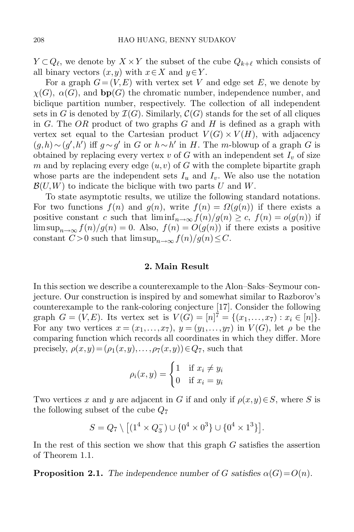$Y \subset Q_{\ell}$ , we denote by  $X \times Y$  the subset of the cube  $Q_{k+\ell}$  which consists of all binary vectors  $(x,y)$  with  $x \in X$  and  $y \in Y$ .

For a graph  $G = (V, E)$  with vertex set V and edge set E, we denote by  $\chi(G)$ ,  $\alpha(G)$ , and **bp** $(G)$  the chromatic number, independence number, and biclique partition number, respectively. The collection of all independent sets in G is denoted by  $\mathcal{I}(G)$ . Similarly,  $\mathcal{C}(G)$  stands for the set of all cliques in G. The OR product of two graphs  $G$  and  $H$  is defined as a graph with vertex set equal to the Cartesian product  $V(G) \times V(H)$ , with adjacency  $(g,h) \sim (g',h')$  iff  $g \sim g'$  in G or  $h \sim h'$  in H. The m-blowup of a graph G is obtained by replacing every vertex  $v$  of  $G$  with an independent set  $I_v$  of size m and by replacing every edge  $(u, v)$  of G with the complete bipartite graph whose parts are the independent sets  $I_u$  and  $I_v$ . We also use the notation  $\mathcal{B}(U,W)$  to indicate the biclique with two parts U and W.

To state asymptotic results, we utilize the following standard notations. For two functions  $f(n)$  and  $g(n)$ , write  $f(n) = \Omega(g(n))$  if there exists a positive constant c such that  $\liminf_{n\to\infty} f(n)/g(n) \geq c$ ,  $f(n) = o(g(n))$  if lim sup<sub>n→∞</sub>  $f(n)/g(n) = 0$ . Also,  $f(n) = O(g(n))$  if there exists a positive constant  $C > 0$  such that  $\limsup_{n \to \infty} f(n)/g(n) \leq C$ .

#### **2. Main Result**

In this section we describe a counterexample to the Alon–Saks–Seymour conjecture. Our construction is inspired by and somewhat similar to Razborov's counterexample to the rank-coloring conjecture [\[17\]](#page-14-9). Consider the following graph  $G = (V, E)$ . Its vertex set is  $V(G) = [n]^T = \{(x_1, \ldots, x_7) : x_i \in [n]\}$ .<br>For any two vertices  $x = (x_1, \ldots, x_7) \cdot u = (u_1, \ldots, u_7)$  in  $V(G)$  let a be the For any two vertices  $x = (x_1, \ldots, x_7), y = (y_1, \ldots, y_7)$  in  $V(G)$ , let  $\rho$  be the comparing function which records all coordinates in which they differ. More precisely,  $\rho(x,y)=(\rho_1(x,y),\ldots,\rho_7(x,y))\in Q_7$ , such that

$$
\rho_i(x, y) = \begin{cases} 1 & \text{if } x_i \neq y_i \\ 0 & \text{if } x_i = y_i \end{cases}
$$

Two vertices x and y are adjacent in G if and only if  $\rho(x,y) \in S$ , where S is the following subset of the cube  $Q_7$ 

$$
S = Q_7 \setminus \left[ (1^4 \times Q_3^-) \cup \{0^4 \times 0^3\} \cup \{0^4 \times 1^3\} \right].
$$

<span id="page-3-0"></span>In the rest of this section we show that this graph G satisfies the assertion of Theorem [1.1.](#page-1-0)

**Proposition 2.1.** *The independence number of G satisfies*  $\alpha(G) = O(n)$ *.*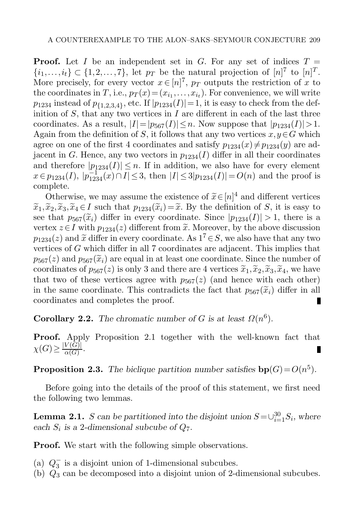**Proof.** Let I be an independent set in G. For any set of indices  $T =$  $\{i_1,\ldots,i_t\} \subset \{1,2,\ldots,7\}$ , let  $p_T$  be the natural projection of  $[n]^7$  to  $[n]^T$ .<br>More precisely for every vector  $x \in [n]^7$  ,  $p_T$  outputs the restriction of x to More precisely, for every vector  $x \in [n]^T$ ,  $p_T$  outputs the restriction of x to the coordinates in T, i.e.,  $p_T(x)=(x_{i_1},\ldots,x_{i_t})$ . For convenience, we will write  $p_{1234}$  instead of  $p_{\{1,2,3,4\}}$ , etc. If  $|p_{1234}(I)|=1$ , it is easy to check from the definition of  $S$ , that any two vertices in  $I$  are different in each of the last three coordinates. As a result,  $|I|=|p_{567}(I)|\leq n$ . Now suppose that  $|p_{1234}(I)|>1$ . Again from the definition of S, it follows that any two vertices  $x, y \in G$  which agree on one of the first 4 coordinates and satisfy  $p_{1234}(x) \neq p_{1234}(y)$  are adjacent in G. Hence, any two vectors in  $p_{1234}(I)$  differ in all their coordinates and therefore  $|p_{1234}(I)| \leq n$ . If in addition, we also have for every element  $x \in p_{1234}(I), |p_{1234}^{-1}(x) \cap I| \leq 3$ , then  $|I| \leq 3|p_{1234}(I)| = O(n)$  and the proof is complete complete.

Otherwise, we may assume the existence of  $\widetilde{x} \in [n]^4$  and different vertices  $\widetilde{x}_2, \widetilde{x}_3, \widetilde{x}_4 \in I$  such that  $n_{12}(\widetilde{x}_1) = \widetilde{x}_1$ . By the definition of S, it is easy to  $\tilde{x}_1,\tilde{x}_2,\tilde{x}_3,\tilde{x}_4 \in I$  such that  $p_{1234}(\tilde{x}_i) = \tilde{x}$ . By the definition of S, it is easy to see that  $p_{567}(\tilde{x}_i)$  differ in every coordinate. Since  $|p_{1234}(I)| > 1$ , there is a vertex  $z \in I$  with  $p_{1234}(z)$  different from  $\tilde{x}$ . Moreover, by the above discussion  $p_{1234}(z)$  and  $\tilde{x}$  differ in every coordinate. As  $1^7 \in S$ , we also have that any two vertices of G which differ in all 7 coordinates are adjacent. This implies that  $p_{567}(z)$  and  $p_{567}(\widetilde{x}_i)$  are equal in at least one coordinate. Since the number of coordinates of  $p_{567}(z)$  is only 3 and there are 4 vertices  $\tilde{x}_1,\tilde{x}_2,\tilde{x}_3,\tilde{x}_4$ , we have that two of these vertices agree with  $p_{567}(z)$  (and hence with each other) in the same coordinate. This contradicts the fact that  $p_{567}(\tilde{x}_i)$  differ in all coordinates and completes the proof. coordinates and completes the proof.

<span id="page-4-2"></span>**Corollary 2.2.** *The chromatic number of* G is at least  $\Omega(n^6)$ .

<span id="page-4-1"></span>**Proof.** Apply Proposition [2.1](#page-3-0) together with the well-known fact that  $\chi(G) \geq \frac{|V(\widetilde{G})|}{\alpha(G)}.$ 

**Proposition 2.3.** The biclique partition number satisfies  $\mathbf{bp}(G) = O(n^5)$ .

<span id="page-4-0"></span>Before going into the details of the proof of this statement, we first need the following two lemmas.

**Lemma 2.1.** S can be partitioned into the disjoint union  $S = \bigcup_{i=1}^{30} S_i$ , where each  $S_i$  *is a* 2-dimensional subcube of  $Q_7$ .

**Proof.** We start with the following simple observations.

- (a)  $Q_3^-$  is a disjoint union of 1-dimensional subcubes.<br>(b)  $Q_2$  can be decomposed into a disjoint union of 2-0
- (b)  $Q_3$  can be decomposed into a disjoint union of 2-dimensional subcubes.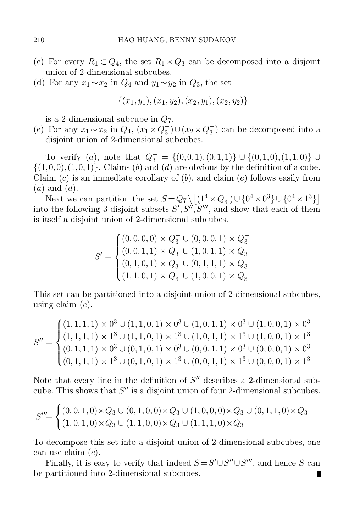- (c) For every  $R_1 \subset Q_4$ , the set  $R_1 \times Q_3$  can be decomposed into a disjoint union of 2-dimensional subcubes.
- (d) For any  $x_1 \sim x_2$  in  $Q_4$  and  $y_1 \sim y_2$  in  $Q_3$ , the set

$$
\{(x_1,y_1),(x_1,y_2),(x_2,y_1),(x_2,y_2)\}
$$

is a 2-dimensional subcube in  $Q_7$ .

(e) For any  $x_1 \sim x_2$  in  $Q_4$ ,  $(x_1 \times Q_3^-) \cup (x_2 \times Q_3^-)$  can be decomposed into a disjoint union of 2-dimensional subcubes disjoint union of 2-dimensional subcubes.

To verify (a), note that  $Q_3^- = \{(0,0,1), (0,1,1)\} \cup \{(0,1,0), (1,1,0)\} \cup$ <br>0 0) (1 0 1)} Claims (b) and (d) are obvious by the definition of a cube  $\{(1,0,0),(1,0,1)\}.$  Claims (b) and (d) are obvious by the definition of a cube. Claim  $(c)$  is an immediate corollary of  $(b)$ , and claim  $(e)$  follows easily from  $(a)$  and  $(d)$ .

Next we can partition the set  $S = Q_7 \setminus \left[ (1^4 \times Q_3^-) \cup \{0^4 \times 0^3\} \cup \{0^4 \times 1^3\} \right]$ <br>a the following 3 disjoint subsets  $S' S'' S'''$  and show that each of them into the following 3 disjoint subsets  $S', S'', S'''$ , and show that each of them is itself a disjoint union of 2-dimensional subcubes.

$$
S' = \begin{cases} (0,0,0,0) \times Q_3^- \cup (0,0,0,1) \times Q_3^- \\ (0,0,1,1) \times Q_3^- \cup (1,0,1,1) \times Q_3^- \\ (0,1,0,1) \times Q_3^- \cup (0,1,1,1) \times Q_3^- \\ (1,1,0,1) \times Q_3^- \cup (1,0,0,1) \times Q_3^- \end{cases}
$$

This set can be partitioned into a disjoint union of 2-dimensional subcubes, using claim  $(e)$ .

$$
S'' = \begin{cases} (1,1,1,1) \times 0^3 \cup (1,1,0,1) \times 0^3 \cup (1,0,1,1) \times 0^3 \cup (1,0,0,1) \times 0^3 \\ (1,1,1,1) \times 1^3 \cup (1,1,0,1) \times 1^3 \cup (1,0,1,1) \times 1^3 \cup (1,0,0,1) \times 1^3 \\ (0,1,1,1) \times 0^3 \cup (0,1,0,1) \times 0^3 \cup (0,0,1,1) \times 0^3 \cup (0,0,0,1) \times 0^3 \\ (0,1,1,1) \times 1^3 \cup (0,1,0,1) \times 1^3 \cup (0,0,1,1) \times 1^3 \cup (0,0,0,1) \times 1^3 \end{cases}
$$

Note that every line in the definition of  $S''$  describes a 2-dimensional subcube. This shows that  $S''$  is a disjoint union of four 2-dimensional subcubes.

$$
S'''=\begin{cases} (0,0,1,0)\times Q_3\cup (0,1,0,0)\times Q_3\cup (1,0,0,0)\times Q_3\cup (0,1,1,0)\times Q_3\\ (1,0,1,0)\times Q_3\cup (1,1,0,0)\times Q_3\cup (1,1,1,0)\times Q_3\end{cases}
$$

To decompose this set into a disjoint union of 2-dimensional subcubes, one can use claim (c).

Finally, it is easy to verify that indeed  $S = S' \cup S'' \cup S'''$ , and hence S can be partitioned into 2-dimensional subcubes.п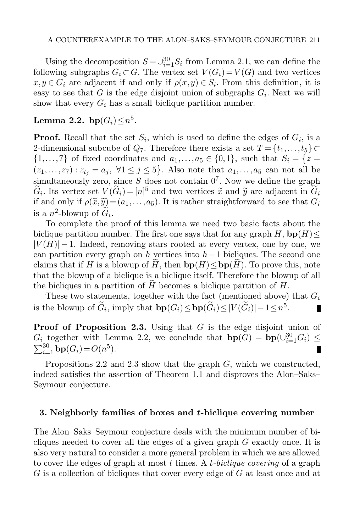Using the decomposition  $S = \bigcup_{i=1}^{30} S_i$  from Lemma [2.1,](#page-4-0) we can define the owing subgraphs  $G_i \subset G$ . The vertex set  $V(G_i) = V(G)$  and two vertices following subgraphs  $G_i \subset G$ . The vertex set  $V(G_i) = V(G)$  and two vertices  $x,y \in G_i$  are adjacent if and only if  $\rho(x,y) \in S_i$ . From this definition, it is easy to see that G is the edge disjoint union of subgraphs  $G_i$ . Next we will show that every  $G_i$  has a small biclique partition number.

# <span id="page-6-1"></span>**Lemma 2.2.** bp $(G_i) \leq n^5$ .

**Proof.** Recall that the set  $S_i$ , which is used to define the edges of  $G_i$ , is a 2-dimensional subcube of  $Q_7$ . Therefore there exists a set  $T = \{t_1, \ldots, t_5\} \subset$  $\{1,\ldots,7\}$  of fixed coordinates and  $a_1,\ldots,a_5 \in \{0,1\}$ , such that  $S_i = \{z = (z_1,\ldots,z_n): z_i = a_i \; \forall 1 \leq i \leq 5\}$ . Also note that  $c_i$  as an note ill be  $(z_1,...,z_7): z_{t_j} = a_j, \forall 1 \leq j \leq 5$ . Also note that  $a_1,...,a_5$  can not all be example negative since  $S$  decay not contain  $0^7$ . Now we define the graph simultaneously zero, since S does not contain  $0^7$ . Now we define the graph  $G_i$ . Its vertex set  $V(G_i) = [n]^5$  and two vertices  $\tilde{x}$  and  $\tilde{y}$  are adjacent in  $G_i$ <br>if and only if  $g(\tilde{x}, \tilde{y}) - (g_1 - g_2)$ . It is rather straightforward to see that  $G_i$ if and only if  $\rho(\tilde{x}, \tilde{y}) = (a_1, \ldots, a_5)$ . It is rather straightforward to see that  $G_i$ is a  $n^2$ -blowup of  $G_i$ .

To complete the proof of this lemma we need two basic facts about the biclique partition number. The first one says that for any graph  $H$ ,  $\mathbf{bp}(H) \leq$  $|V(H)| - 1$ . Indeed, removing stars rooted at every vertex, one by one, we can partition every graph on h vertices into  $h-1$  bicliques. The second one claims that if H is a blowup of H, then  $bp(H) \leq bp(H)$ . To prove this, note that the blowup of a biclique is a biclique itself. Therefore the blowup of all the bicliques in a partition of  $H$  becomes a biclique partition of  $H$ .

These two statements, together with the fact (mentioned above) that  $G_i$ is the blowup of  $\widetilde{G}_i$ , imply that  $\mathbf{bp}(G_i) \leq \mathbf{bp}(\widetilde{G}_i) \leq |V(\widetilde{G}_i)| - 1 \leq n^5$ . П

**Proof of Proposition [2.3.](#page-4-1)** Using that G is the edge disjoint union of  $G_i$  together with Lemma [2.2,](#page-6-1) we conclude that  $b\mathbf{p}(G) = b\mathbf{p}(\cup_{i=1}^{30} G_i) \leq \sum_{i=1}^{30} b\mathbf{p}(G_i) - O(n^5)$  $\sum_{i=1}^{30}$ **bp** $(G_i) = O(n^5)$ .

Propositions [2.2](#page-4-2) and [2.3](#page-4-1) show that the graph G, which we constructed, indeed satisfies the assertion of Theorem [1.1](#page-1-0) and disproves the Alon–Saks– Seymour conjecture.

#### <span id="page-6-0"></span>**3. Neighborly families of boxes and** *t***-biclique covering number**

The Alon–Saks–Seymour conjecture deals with the minimum number of bicliques needed to cover all the edges of a given graph  $G$  exactly once. It is also very natural to consider a more general problem in which we are allowed to cover the edges of graph at most t times. A t*-biclique covering* of a graph G is a collection of bicliques that cover every edge of G at least once and at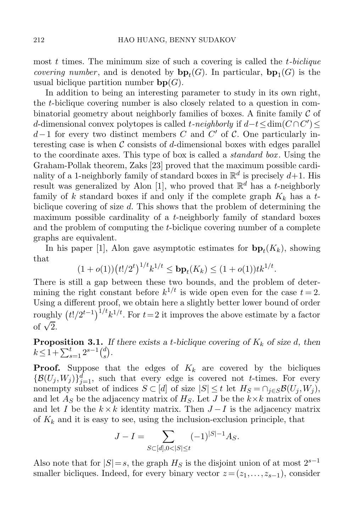most t times. The minimum size of such a covering is called the t*-biclique covering number*, and is denoted by  $\mathbf{bp}_t(G)$ . In particular,  $\mathbf{bp}_1(G)$  is the usual biclique partition number  $bp(G)$ .

In addition to being an interesting parameter to study in its own right, the t-biclique covering number is also closely related to a question in combinatorial geometry about neighborly families of boxes. A finite family  $\mathcal C$  of d-dimensional convex polytopes is called *t*-neighborly if  $d-t \leq \dim(C \cap C')$  $d-1$  for every two distinct members C and C' of C. One particularly interesting case is when  $\mathcal C$  consists of d-dimensional boxes with edges parallel to the coordinate axes. This type of box is called a *standard box* . Using the Graham-Pollak theorem, Zaks [\[23\]](#page-14-11) proved that the maximum possible cardinality of a 1-neighborly family of standard boxes in  $\mathbb{R}^d$  is precisely  $d+1$ . His result was generalized by Alon [\[1\]](#page-13-8), who proved that  $\mathbb{R}^d$  has a t-neighborly family of k standard boxes if and only if the complete graph  $K_k$  has a tbiclique covering of size  $d$ . This shows that the problem of determining the maximum possible cardinality of a  $t$ -neighborly family of standard boxes and the problem of computing the t-biclique covering number of a complete graphs are equivalent.

In his paper [\[1\]](#page-13-8), Alon gave asymptotic estimates for  $\mathbf{bp}_t(K_k)$ , showing that

$$
(1+o(1)) (t!/2^t)^{1/t} k^{1/t} \leq \mathbf{bp}_t(K_k) \leq (1+o(1))tk^{1/t}.
$$

There is still a gap between these two bounds, and the problem of determining the right constant before  $k^{1/t}$  is wide open even for the case  $t = 2$ . Using a different proof, we obtain here a slightly better lower bound of order roughly  $(t!/2^{t-1})^{1/t}k^{1/t}$ . For  $t=2$  it improves the above estimate by a factor of  $\sqrt{2}$ .

**Proposition 3.1.** If there exists a *t*-biclique covering of  $K_k$  of size d, then  $k \leq 1 + \sum_{s=1}^{t} 2^{s-1} {d \choose s}$  $\binom{d}{s}$  .

**Proof.** Suppose that the edges of  $K_k$  are covered by the bicliques  $\{\mathcal{B}(U_j, W_j)\}_{j=1}^d$ , such that every edge is covered not t-times. For every nonempty subset of indices  $S \subset [d]$  of size  $|S| \leq t$  let  $H_S = \cap_{j \in S} \mathcal{B}(U_j, W_j)$ , and let  $A_S$  be the adjacency matrix of  $H_S$ . Let J be the  $k \times k$  matrix of ones and let I be the  $k \times k$  identity matrix. Then  $J-I$  is the adjacency matrix of  $K_k$  and it is easy to see, using the inclusion-exclusion principle, that

$$
J - I = \sum_{S \subset [d], 0 < |S| \le t} (-1)^{|S| - 1} A_S.
$$

Also note that for  $|S|=s$ , the graph  $H_S$  is the disjoint union of at most  $2^{s-1}$ smaller bicliques. Indeed, for every binary vector  $z = (z_1, \ldots, z_{s-1})$ , consider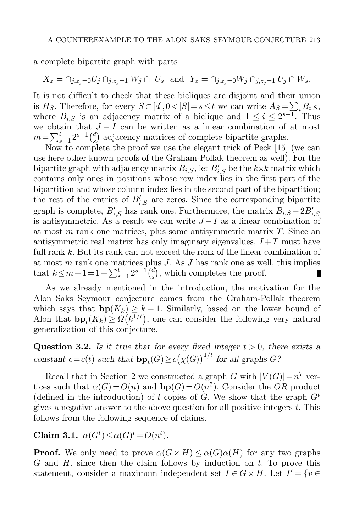a complete bipartite graph with parts

$$
X_z = \cap_{j,z_j=0} U_j \cap_{j,z_j=1} W_j \cap U_s \text{ and } Y_z = \cap_{j,z_j=0} W_j \cap_{j,z_j=1} U_j \cap W_s.
$$

It is not difficult to check that these bicliques are disjoint and their union is  $H_S$ . Therefore, for every  $S \subset [d], 0 < |S| = s \le t$  we can write  $A_S = \sum_i B_{i,S}$ , where  $B_{i,S}$  is an adjacency matrix of a biclique and  $1 \leq i \leq 2^{s-1}$ . Thus we obtain that  $J - I$  can be written as a linear combination of at most  $m = \sum_{s=1}^{t} 2^{s-1} {d \choose s}$ <br>Now to comp  $s$ ) adjacency matrices of complete bipartite graphs.

Now to complete the proof we use the elegant trick of Peck [\[15\]](#page-14-0) (we can use here other known proofs of the Graham-Pollak theorem as well). For the bipartite graph with adjacency matrix  $B_{i,S}$ , let  $B'_{i,S}$  be the  $k\times k$  matrix which contains only ones in positions whose row index lies in the first part of the bipartition and whose column index lies in the second part of the bipartition; the rest of the entries of  $B'_{i,S}$  are zeros. Since the corresponding bipartite graph is complete,  $B'_{i,S}$  has rank one. Furthermore, the matrix  $B_{i,S} - 2B'_{i,S}$ is antisymmetric. As a result we can write  $J-I$  as a linear combination of at most  $m$  rank one matrices, plus some antisymmetric matrix  $T$ . Since an antisymmetric real matrix has only imaginary eigenvalues,  $I + T$  must have full rank k. But its rank can not exceed the rank of the linear combination of at most  $m$  rank one matrices plus  $J$ . As  $J$  has rank one as well, this implies that  $k \leq m+1 = 1 + \sum_{s=1}^{t} 2^{s-1} {d \choose s}$  $s$ , which completes the proof. П

As we already mentioned in the introduction, the motivation for the Alon–Saks–Seymour conjecture comes from the Graham-Pollak theorem which says that  $bp(K_k) \geq k-1$ . Similarly, based on the lower bound of Alon that  $b p_t(K_k) \geq \Omega(k^{1/t})$ , one can consider the following very natural generalization of this conjecture.

<span id="page-8-1"></span>**Question 3.2.** *Is it true that for every fixed integer*  $t > 0$ *, there exists a* constant  $c = c(t)$  *such that*  $\mathbf{bp}_t(G) \geq c(\chi(G))^{1/t}$  *for all graphs*  $G$ ?

Recall that in Section 2 we constructed a graph G with  $|V(G)| = n^7$  vertices such that  $\alpha(G) = O(n)$  and  $\mathbf{bp}(G) = O(n^5)$ . Consider the OR product (defined in the introduction) of t copies of G. We show that the graph  $G<sup>t</sup>$ gives a negative answer to the above question for all positive integers  $t$ . This follows from the following sequence of claims.

<span id="page-8-0"></span>**Claim 3.1.**  $\alpha(G^t) \leq \alpha(G)^t = O(n^t)$ *.* 

**Proof.** We only need to prove  $\alpha(G \times H) \leq \alpha(G)\alpha(H)$  for any two graphs  $G$  and  $H$ , since then the claim follows by induction on  $t$ . To prove this statement, consider a maximum independent set  $I \in G \times H$ . Let  $I' = \{v \in$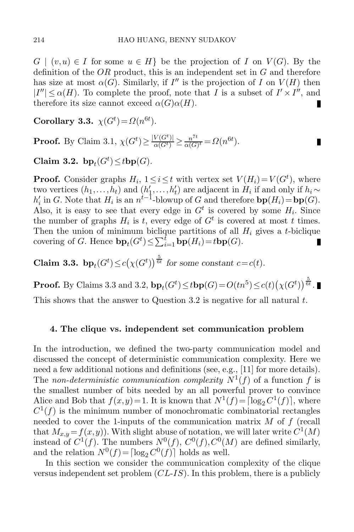$G \mid (v, u) \in I$  for some  $u \in H$  be the projection of I on  $V(G)$ . By the definition of the  $OR$  product, this is an independent set in  $G$  and therefore has size at most  $\alpha(G)$ . Similarly, if I'' is the projection of I on  $V(H)$  then  $|I''| \leq \alpha(H)$ . To complete the proof, note that I is a subset of  $I' \times I''$ , and therefore its size cannot exceed  $\alpha(G)\alpha(H)$ . Ш

П

<span id="page-9-1"></span>**Corollary 3.3.**  $\chi(G^t) = \Omega(n^{6t}).$ 

<span id="page-9-2"></span>**Proof.** By Claim [3.1,](#page-8-0)  $\chi(G^t) \ge \frac{|V(G^t)|}{\alpha(G^t)} \ge \frac{n^{7t}}{\alpha(G)^t} = \Omega(n^{6t}).$ 

Claim 3.2.  $bp_t(G^t) \leq tbp(G)$ .

**Proof.** Consider graphs  $H_i$ ,  $1 \leq i \leq t$  with vertex set  $V(H_i) = V(G^t)$ , where two vertices  $(h_1, \ldots, h_t)$  and  $(h'_1, \ldots, h'_t)$  are adjacent in  $H_i$  if and only if  $h_i \sim h'_i$  in G. Note that  $H_i$  is an  $n^{t-1}$ -blowup of G and therefore  $\mathbf{bn}(H_i) = \mathbf{bn}(G)$  $h'_i$  in G. Note that  $H_i$  is an  $n^{i-1}$ -blowup of G and therefore  $\mathbf{bp}(H_i) = \mathbf{bp}(G)$ . Also, it is easy to see that every edge in  $G<sup>t</sup>$  is covered by some  $H<sub>i</sub>$ . Since the number of graphs  $H_i$  is t, every edge of  $G<sup>t</sup>$  is covered at most t times. Then the union of minimum biclique partitions of all  $H_i$  gives a t-biclique covering of G. Hence  $\mathbf{bp}_t(G^t) \leq \sum_{i=1}^t \mathbf{bp}(H_i) = t \mathbf{bp}(G)$ .

**Claim 3.3.**  $b p_t(G^t) \le c(\chi(G^t))^{\frac{5}{6t}}$  for some constant  $c = c(t)$ .

**Proof.** By Claims [3.3](#page-9-1) and [3.2,](#page-9-2)  $b\mathbf{p}_t(G^t) \leq t b\mathbf{p}(G) = O(tn^5) \leq c(t)\big(\chi(G^t)\big)^{\frac{5}{6t}}$ .

This shows that the answer to Question [3.2](#page-8-1) is negative for all natural  $t$ .

#### <span id="page-9-0"></span>**4. The clique vs. independent set communication problem**

In the introduction, we defined the two-party communication model and discussed the concept of deterministic communication complexity. Here we need a few additional notions and definitions (see, e.g., [\[11\]](#page-14-12) for more details). The *non-deterministic communication complexity*  $N^1(f)$  of a function f is the smallest number of bits needed by an all powerful prover to convince Alice and Bob that  $f(x, y) = 1$ . It is known that  $N^1(f) = \lceil \log_2 C^1(f) \rceil$ , where  $C^{1}(f)$  is the minimum number of monochromatic combinatorial rectangles needed to cover the 1-inputs of the communication matrix  $M$  of  $f$  (recall that  $M_{x,y} = f(x,y)$ . With slight abuse of notation, we will later write  $C^1(M)$ instead of  $C^1(f)$ . The numbers  $N^0(f)$ ,  $C^0(f)$ ,  $C^0(M)$  are defined similarly, and the relation  $N^0(f) = \lceil \log_2 C^0(f) \rceil$  holds as well.

In this section we consider the communication complexity of the clique versus independent set problem (CL-IS). In this problem, there is a publicly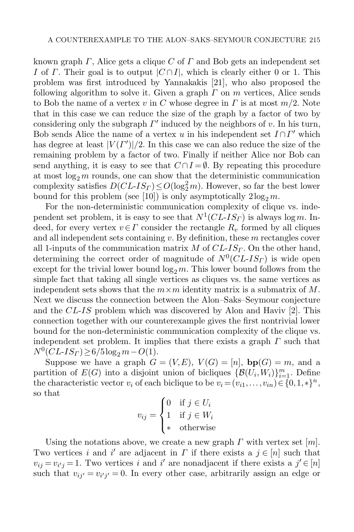known graph  $\Gamma$ , Alice gets a clique  $C$  of  $\Gamma$  and Bob gets an independent set I of Γ. Their goal is to output  $|C \cap I|$ , which is clearly either 0 or 1. This problem was first introduced by Yannakakis [\[21\]](#page-14-4), who also proposed the following algorithm to solve it. Given a graph  $\Gamma$  on  $m$  vertices, Alice sends to Bob the name of a vertex v in C whose degree in  $\Gamma$  is at most  $m/2$ . Note that in this case we can reduce the size of the graph by a factor of two by considering only the subgraph  $\Gamma'$  induced by the neighbors of v. In his turn, Bob sends Alice the name of a vertex u in his independent set  $I \cap \Gamma'$  which has degree at least  $|V(I')|/2$ . In this case we can also reduce the size of the remaining problem by a factor of two. Finally if neither Alice nor Bob can send anything, it is easy to see that  $C \cap I = \emptyset$ . By repeating this procedure at most  $\log_2 m$  rounds, one can show that the deterministic communication<br>complexity satisfies  $DCLJS<sub>D</sub>(\log_2^2 m)$ . However, so far the best lower complexity satisfies  $D(CL\text{-}IS_T) \leq O(\log_2^2 m)$ . However, so far the best lower<br>bound for this problem (see [10]) is only asymptotically  $2\log_2 m$ bound for this problem (see [\[10\]](#page-14-13)) is only asymptotically  $2\log_2 m$ .<br>For the non-deterministic communication complexity of cliqu

For the non-deterministic communication complexity of clique vs. independent set problem, it is easy to see that  $N^1CL-IS_\Gamma$  is always log m. Indeed, for every vertex  $v \in \Gamma$  consider the rectangle  $R_v$  formed by all cliques and all independent sets containing  $v$ . By definition, these  $m$  rectangles cover all 1-inputs of the communication matrix M of  $CL-IS<sub>\Gamma</sub>$ . On the other hand, determining the correct order of magnitude of  $N^0(CL\text{-}IS_{\Gamma})$  is wide open except for the trivial lower bound  $\log_2 m$ . This lower bound follows from the simple fact that taking all single vertices as cliques vs, the same vertices as simple fact that taking all single vertices as cliques vs. the same vertices as independent sets shows that the  $m \times m$  identity matrix is a submatrix of M. Next we discuss the connection between the Alon–Saks–Seymour conjecture and the CL-IS problem which was discovered by Alon and Haviv [\[2\]](#page-13-4). This connection together with our counterexample gives the first nontrivial lower bound for the non-deterministic communication complexity of the clique vs. independent set problem. It implies that there exists a graph  $\Gamma$  such that  $N^0(CL\text{-}IS_{\Gamma}) \geq 6/5\log_2 m - O(1).$ 

Suppose we have a graph  $G = (V, E), V(G) = [n], bp(G) = m$ , and a partition of  $E(G)$  into a disjoint union of bicliques  $\{\mathcal{B}(U_i, W_i)\}_{i=1}^m$ . Define<br>the characteristic vector  $v_i$  of each biclique to be  $v_i - (v_i, \ldots, v_i) \in \{0, 1, \ldots, n\}$ the characteristic vector  $v_i$  of each biclique to be  $v_i = (v_{i1},\ldots,v_{in}) \in \{0,1,*\}^n$ , so that

$$
v_{ij} = \begin{cases} 0 & \text{if } j \in U_i \\ 1 & \text{if } j \in W_i \\ * & \text{otherwise} \end{cases}
$$

Using the notations above, we create a new graph  $\Gamma$  with vertex set  $[m]$ . Two vertices i and i' are adjacent in  $\Gamma$  if there exists a  $j \in [n]$  such that  $v_{ij} = v_{i'j} = 1$ . Two vertices i and i' are nonadjacent if there exists a  $j' \in [n]$ such that  $v_{ij'} = v_{i'j'} = 0$ . In every other case, arbitrarily assign an edge or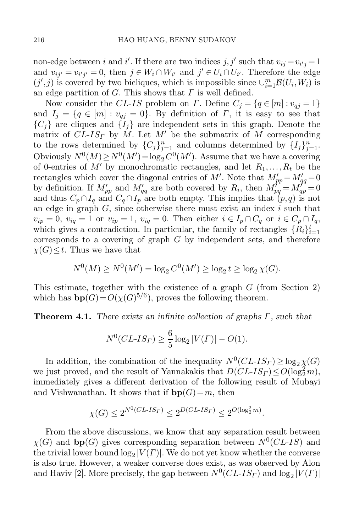non-edge between *i* and *i'*. If there are two indices  $j, j'$  such that  $v_{ij} = v_{i'j} = 1$ and  $v_{ii'} = v_{i'j'} = 0$ , then  $j \in W_i \cap W_{i'}$  and  $j' \in U_i \cap U_{i'}$ . Therefore the edge  $(j', j)$  is covered by two bicliques, which is impossible since  $\cup_{i=1}^m \mathcal{B}(U_i, W_i)$  is an edge partition of G. This shows that  $\Gamma$  is well defined an edge partition of  $G$ . This shows that  $\Gamma$  is well defined.

Now consider the CL-IS problem on Γ. Define  $C_i = \{q \in [m] : v_{qi} = 1\}$ and  $I_j = \{q \in [m] : v_{qj} = 0\}$ . By definition of  $\Gamma$ , it is easy to see that  ${C_i}$  are cliques and  ${I_i}$  are independent sets in this graph. Denote the matrix of  $CL$ - $IS<sub>\Gamma</sub>$  by M. Let M' be the submatrix of M corresponding to the rows determined by  ${C_j}_{j=1}^n$  and columns determined by  ${I_j}_{j=1}^n$ .<br>Obviously  $N^0(M) > N^0(M') - \log C^0(M')$ . Assume that we have a sovering Obviously  $N^0(M) \ge N^0(M') = \log_2 C^0(M')$ . Assume that we have a covering of 0-entries of  $M'$  by monochromatic rectangles and let  $R_1$ . R, be the of 0-entries of M' by monochromatic rectangles, and let  $R_1, \ldots, R_t$  be the rectangles which cover the diagonal entries of M'. Note that  $M'_{pp} = M'_{qq} = 0$ by definition. If  $M'_{pp}$  and  $M'_{qq}$  are both covered by  $R_i$ , then  $M'_{pq} = M'_{qp} = 0$ and thus  $C_p \cap I_q$  and  $C_q \cap I_p$  are both empty. This implies that  $(p,q)$  is not an edge in graph  $G$ , since otherwise there must exist an index  $i$  such that  $v_{ip} = 0$ ,  $v_{iq} = 1$  or  $v_{ip} = 1$ ,  $v_{iq} = 0$ . Then either  $i \in I_p \cap C_q$  or  $i \in C_p \cap I_q$ , which gives a contradiction. In particular, the family of rectangles  $\{R_i\}_{i=1}^t$ which gives a contradiction. In particular, the family of rectangles  $\{K_i\}_{i=1}^s$  corresponds to a covering of graph G by independent sets, and therefore  $\chi(G) \leq t$ . Thus we have that

$$
N^{0}(M) \ge N^{0}(M') = \log_2 C^{0}(M') \ge \log_2 t \ge \log_2 \chi(G).
$$

This estimate, together with the existence of a graph  $G$  (from Section 2) which has  $b\mathbf{p}(G) = O(\chi(G)^{5/6})$ , proves the following theorem.

**Theorem 4.1.** *There exists an infinite collection of graphs* Γ*, such that*

$$
N^{0}(CL{\text -}IS_{\Gamma}) \ge \frac{6}{5}\log_2|V(\Gamma)| - O(1).
$$

In addition, the combination of the inequality  $N^0(CL\text{-}IS_{\Gamma}) \ge \log_2 \chi(G)$ we just proved, and the result of Yannakakis that  $DCL\text{-}IS_\Gamma \leq O(\log_2^2 m)$ ,<br>immediately gives a different derivation of the following result of Muhavi immediately gives a different derivation of the following result of Mubayi and Vishwanathan. It shows that if  $bp(G)=m$ , then

$$
\chi(G) \le 2^{N^0(CL\text{-}IS_{\Gamma})} \le 2^{D(CL\text{-}IS_{\Gamma})} \le 2^{O(\log_2^2 m)}.
$$

From the above discussions, we know that any separation result between  $\chi(G)$  and **bp**(G) gives corresponding separation between  $N^0CL-IS$  and the trivial lower bound  $\log_2 |V(\Gamma)|$ . We do not yet know whether the converse is also true. However, a weaker converse does exist, as was observed by Alon is also true. However, a weaker converse does exist, as was observed by Alon and Haviv [\[2\]](#page-13-4). More precisely, the gap between  $N^0(CL\text{-}IS_\Gamma)$  and  $\log_2 |V(\Gamma)|$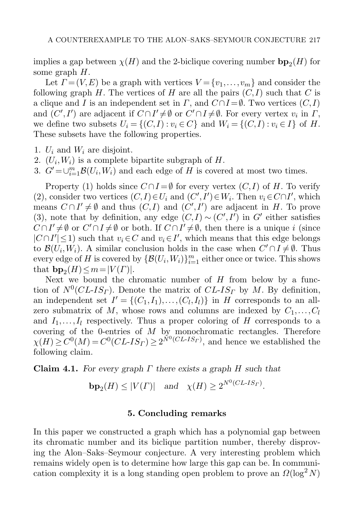implies a gap between  $\chi(H)$  and the 2-biclique covering number  $bp_2(H)$  for some graph H some graph  $H$ .

Let  $\Gamma = (V, E)$  be a graph with vertices  $V = \{v_1, \ldots, v_m\}$  and consider the following graph H. The vertices of H are all the pairs  $(C, I)$  such that C is a clique and I is an independent set in  $\Gamma$ , and  $C \cap I = \emptyset$ . Two vertices  $(C, I)$ and  $(C', I')$  are adjacent if  $C \cap I' \neq \emptyset$  or  $C' \cap I \neq \emptyset$ . For every vertex  $v_i$  in  $\Gamma$ , we define two subsets  $U_i = \{(C, I) : v_i \in C\}$  and  $W_i = \{(C, I) : v_i \in I\}$  of H. These subsets have the following properties.

- 1.  $U_i$  and  $W_i$  are disjoint.
- 2.  $(U_i, W_i)$  is a complete bipartite subgraph of H.
- 3.  $G' = \bigcup_{i=1}^{m} \mathcal{B}(U_i, W_i)$  and each edge of H is covered at most two times.

Property (1) holds since  $C \cap I = \emptyset$  for every vertex  $(C, I)$  of H. To verify (2), consider two vertices  $(C, I) \in U_i$  and  $(C', I') \in W_i$ . Then  $v_i \in C \cap I'$ , which means  $C \cap I' \neq \emptyset$  and thus  $(C, I)$  and  $(C', I')$  are adjacent in H. To prove (3), note that by definition, any edge  $(C, I) \sim (C', I')$  in G' either satisfies  $C \cap I' \neq \emptyset$  or  $C' \cap I \neq \emptyset$  or both. If  $C \cap I' \neq \emptyset$ , then there is a unique i (since  $|C \cap I'| \leq 1$  such that  $v_i \in C$  and  $v_i \in I'$ , which means that this edge belongs to  $\mathcal{B}(U_i,W_i)$ . A similar conclusion holds in the case when  $C' \cap I \neq \emptyset$ . Thus every edge of H is covered by  $\{\mathcal{B}(U_i, W_i)\}_{i=1}^m$  either once or twice. This shows that  $\mathbf{b}_0(H) \leq m = |V(F)|$ that  $b\mathbf{p}_2(H) \leq m = |V(\Gamma)|$ .<br>Next we bound the ch

Next we bound the chromatic number of  $H$  from below by a function of  $N^0CL$ - $IS<sub>\Gamma</sub>$ ). Denote the matrix of  $CL$ - $IS<sub>\Gamma</sub>$  by M. By definition, an independent set  $I' = \{(C_1, I_1), \ldots, (C_l, I_l)\}\$ in H corresponds to an allzero submatrix of M, whose rows and columns are indexed by  $C_1, \ldots, C_l$ and  $I_1, \ldots, I_l$  respectively. Thus a proper coloring of H corresponds to a covering of the 0-entries of  $M$  by monochromatic rectangles. Therefore  $\chi(H) \geq C^{0}(M) = C^{0}(CL{\text -}IS_{\Gamma}) \geq 2^{\tilde{N}^{0}(CL{\text -}IS_{\Gamma})}$ , and hence we established the following claim.

**Claim 4.1.** *For every graph* Γ *there exists a graph* H *such that*

$$
\mathbf{bp}_2(H) \le |V(\Gamma)| \quad \text{and} \quad \chi(H) \ge 2^{N^0(CL \cdot IS_{\Gamma})}.
$$

#### **5. Concluding remarks**

In this paper we constructed a graph which has a polynomial gap between its chromatic number and its biclique partition number, thereby disproving the Alon–Saks–Seymour conjecture. A very interesting problem which remains widely open is to determine how large this gap can be. In communication complexity it is a long standing open problem to prove an  $\Omega(\log^2 N)$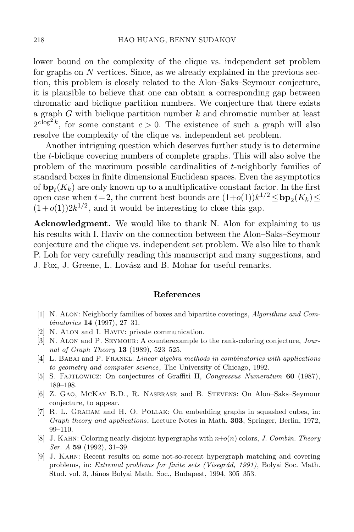lower bound on the complexity of the clique vs. independent set problem for graphs on  $N$  vertices. Since, as we already explained in the previous section, this problem is closely related to the Alon–Saks–Seymour conjecture, it is plausible to believe that one can obtain a corresponding gap between chromatic and biclique partition numbers. We conjecture that there exists a graph  $G$  with biclique partition number  $k$  and chromatic number at least  $2^{c \log^2 k}$ , for some constant  $c > 0$ . The existence of such a graph will also resolve the complexity of the clique vs. independent set problem.

Another intriguing question which deserves further study is to determine the t-biclique covering numbers of complete graphs. This will also solve the problem of the maximum possible cardinalities of t-neighborly families of standard boxes in finite dimensional Euclidean spaces. Even the asymptotics of  $b_{\mathbf{p}_t}(K_k)$  are only known up to a multiplicative constant factor. In the first open case when  $t=2$ , the current best bounds are  $(1+o(1))k^{1/2} \leq b\mathbf{p}_2(K_k) \leq$  $(1+o(1))2k^{1/2}$ , and it would be interesting to close this gap.

**Acknowledgment.** We would like to thank N. Alon for explaining to us his results with I. Haviv on the connection between the Alon–Saks–Seymour conjecture and the clique vs. independent set problem. We also like to thank P. Loh for very carefully reading this manuscript and many suggestions, and J. Fox, J. Greene, L. Lovász and B. Mohar for useful remarks.

#### **References**

- <span id="page-13-8"></span>[1] N. Alon: Neighborly families of boxes and bipartite coverings, *Algorithms and Combinatorics* **14** (1997), 27–31.
- <span id="page-13-7"></span><span id="page-13-4"></span>[2] N. Alon and I. Haviv: private communication.
- [3] N. Alon and P. Seymour: A counterexample to the rank-coloring conjecture, *Journal of Graph Theory* **13** (1989), 523–525.
- <span id="page-13-1"></span>[4] L. Babai and P. Frankl: *Linear algebra methods in combinatorics with applications to geometry and computer science,* The University of Chicago, 1992.
- <span id="page-13-6"></span><span id="page-13-5"></span>[5] S. Fajtlowicz: On conjectures of Graffiti II, *Congressus Numeratum* **60** (1987), 189–198.
- [6] Z. Gao, McKay B.D., R. Naserasr and B. Stevens: On Alon–Saks–Seymour conjecture, to appear.
- <span id="page-13-0"></span>[7] R. L. Graham and H. O. Pollak: On embedding graphs in squashed cubes, in: *Graph theory and applications*, Lecture Notes in Math. **303**, Springer, Berlin, 1972, 99–110.
- <span id="page-13-3"></span>[8] J. Kahn: Coloring nearly-disjoint hypergraphs with *n*+*o*(*n*) colors, *J. Combin. Theory Ser. A* **59** (1992), 31–39.
- <span id="page-13-2"></span>[9] J. Kahn: Recent results on some not-so-recent hypergraph matching and covering problems, in: *Extremal problems for finite sets (Visegrád, 1991)*, Bolyai Soc. Math. Stud. vol. 3, János Bolyai Math. Soc., Budapest, 1994, 305–353.